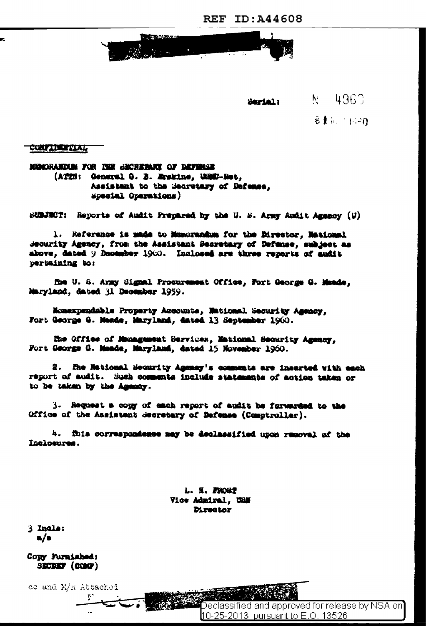REF ID: A44608

**CONTRACTOR** 

 $N = 4960$ Serial:

 $21.70$ 

**COMPIDENTIAL** 

MONDRANDIM FOR THE BECREPART OF DEFINIER (ATIN: General G. B. Erskins, USBC-Ret. Assistant to the Becretary of Defense. Mpecial Operations)

SUBJECT: Reports of Audit Prepared by the U.S. Army Audit Agency (U)

1. Reference is made to Munorandum for the Director, Mational Security Agency, from the Assistant Secretary of Defense, subject as above, dated 9 December 1900. Inclosed are three reports of audit pertaining to:

fhe U. S. Army Signal Procurement Office, Fort George G. Meade, Maryland, dated il December 1959.

Monexpendable Property Accounts, National Security Agency, Fort George G. Mende, Maryland, dated 13 September 1960.

He Office of Management Services, Mational Security Agency. Fort George G. Meade, Maryland, dated 15 November 1960.

2. The Mational Security Agency's countats are inserted with each report of audit. Such comments include statements of action taken or to be taken by the Agency.

3. Hequest a copy of each report of audit be forwarded to the Office of the Assistant Secretary of Defense (Comptroller).

4. fhis correspondence may be declassified upon removal of the Inclosures.

> L. H. PROST Vice Admiral. UNN **Director**

3 Incls:  $\mathbf{a}/\mathbf{s}$ 

Copy Puraished: SECDEF (COMP)

ce and M/R Attached

Declassified and approved for release by NSA on 10-25-2013 pursuant to E.O. 13526